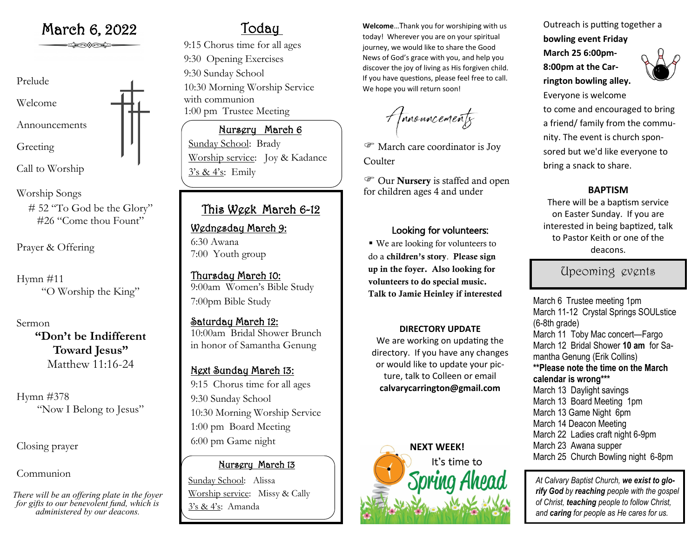

Call to Worship

Worship Songs # 52 "To God be the Glory" #26 "Come thou Fount"

Prayer & Offering

Hymn #11 "O Worship the King"

Sermon **"Don't be Indifferent Toward Jesus"** Matthew 11:16-24

Hymn #378 "Now I Belong to Jesus"

Closing prayer

Communion

*There will be an offering plate in the foyer for gifts to our benevolent fund, which is administered by our deacons.*

# Today

9:15 Chorus time for all ages 9:30 Opening Exercises 9:30 Sunday School 10:30 Morning Worship Service with communion 1:00 pm Trustee Meeting

## Nursery March 6

Sunday School: Brady Worship service: Joy & Kadance  $3's & 4's$ : Emily

## This Week March 6-12

## Wednesday March 9: 6:30 Awana

7:00 Youth group

Thursday March 10: 9:00am Women's Bible Study 7:00pm Bible Study

Saturday March 12: 10:00am Bridal Shower Brunch in honor of Samantha Genung

## Next Sunday March 13: 9:15 Chorus time for all ages 9:30 Sunday School 10:30 Morning Worship Service 1:00 pm Board Meeting 6:00 pm Game night

## Nursery March 13

Sunday School: Alissa Worship service: Missy & Cally 3's & 4's: Amanda

March 6, 2022 **Welcome** March 6, 2022 today! Wherever you are on your spiritual journey, we would like to share the Good News of God's grace with you, and help you discover the joy of living as His forgiven child. If you have questions, please feel free to call. We hope you will return soon!

A forouncements

 March care coordinator is Joy **Coulter** 

 Our Nursery is staffed and open for children ages 4 and under **BAPTISM**

### Looking for volunteers:

■ We are looking for volunteers to do a children's story. Please sign up in the foyer. Also looking for volunteers to do special music. Talk to Jamie Heinley if interested

### **DIRECTORY UPDATE**

We are working on updating the directory. If you have any changes or would like to update your picture, talk to Colleen or email **calvarycarrington@gmail.com**



Outreach is putting together a **bowling event Friday** 

**March 25 6:00pm-8:00pm at the Carrington bowling alley.** 



Everyone is welcome to come and encouraged to bring a friend/ family from the community. The event is church sponsored but we'd like everyone to bring a snack to share.

There will be a baptism service on Easter Sunday. If you are interested in being baptized, talk to Pastor Keith or one of the deacons.

## Upcoming events

March 6 Trustee meeting 1pm March 11-12 Crystal Springs SOULstice (6-8th grade) March 11 Toby Mac concert—Fargo March 12 Bridal Shower **10 am** for Samantha Genung (Erik Collins) **\*\*Please note the time on the March calendar is wrong\*\*\*** March 13 Daylight savings March 13 Board Meeting 1pm March 13 Game Night 6pm March 14 Deacon Meeting March 22 Ladies craft night 6-9pm March 23 Awana supper

March 25 Church Bowling night 6-8pm

*At Calvary Baptist Church, we exist to glorify God by reaching people with the gospel of Christ, teaching people to follow Christ, and caring for people as He cares for us.*